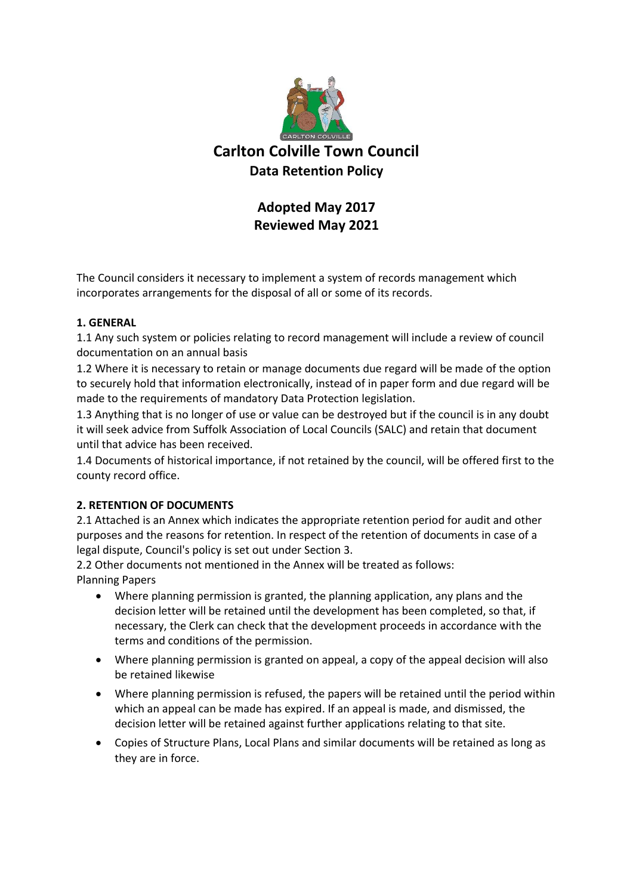

## **Adopted May 2017 Reviewed May 2021**

The Council considers it necessary to implement a system of records management which incorporates arrangements for the disposal of all or some of its records.

### **1. GENERAL**

1.1 Any such system or policies relating to record management will include a review of council documentation on an annual basis

1.2 Where it is necessary to retain or manage documents due regard will be made of the option to securely hold that information electronically, instead of in paper form and due regard will be made to the requirements of mandatory Data Protection legislation.

1.3 Anything that is no longer of use or value can be destroyed but if the council is in any doubt it will seek advice from Suffolk Association of Local Councils (SALC) and retain that document until that advice has been received.

1.4 Documents of historical importance, if not retained by the council, will be offered first to the county record office.

## **2. RETENTION OF DOCUMENTS**

2.1 Attached is an Annex which indicates the appropriate retention period for audit and other purposes and the reasons for retention. In respect of the retention of documents in case of a legal dispute, Council's policy is set out under Section 3.

2.2 Other documents not mentioned in the Annex will be treated as follows: Planning Papers

- Where planning permission is granted, the planning application, any plans and the decision letter will be retained until the development has been completed, so that, if necessary, the Clerk can check that the development proceeds in accordance with the terms and conditions of the permission.
- Where planning permission is granted on appeal, a copy of the appeal decision will also be retained likewise
- Where planning permission is refused, the papers will be retained until the period within which an appeal can be made has expired. If an appeal is made, and dismissed, the decision letter will be retained against further applications relating to that site.
- Copies of Structure Plans, Local Plans and similar documents will be retained as long as they are in force.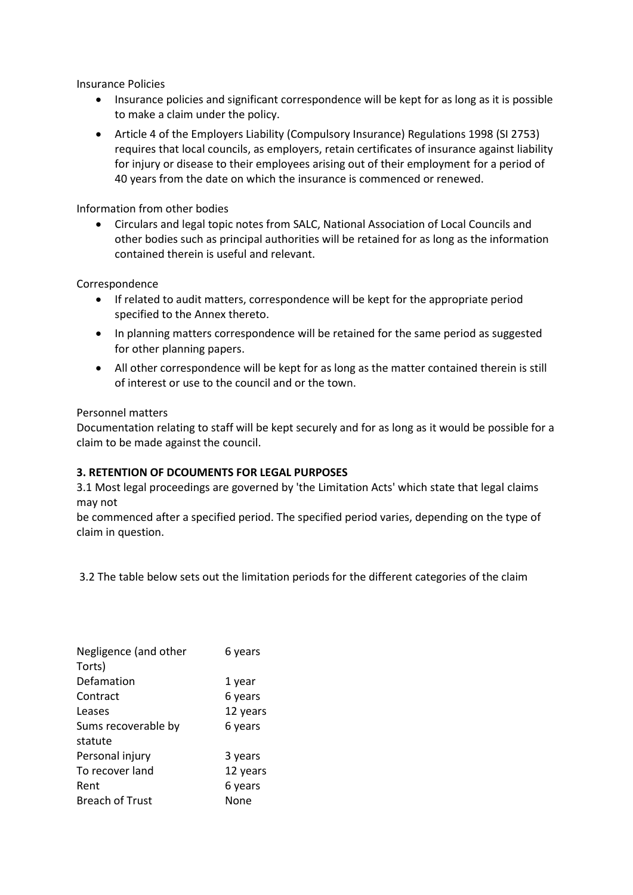Insurance Policies

- Insurance policies and significant correspondence will be kept for as long as it is possible to make a claim under the policy.
- Article 4 of the Employers Liability (Compulsory Insurance) Regulations 1998 (SI 2753) requires that local councils, as employers, retain certificates of insurance against liability for injury or disease to their employees arising out of their employment for a period of 40 years from the date on which the insurance is commenced or renewed.

Information from other bodies

• Circulars and legal topic notes from SALC, National Association of Local Councils and other bodies such as principal authorities will be retained for as long as the information contained therein is useful and relevant.

Correspondence

- If related to audit matters, correspondence will be kept for the appropriate period specified to the Annex thereto.
- In planning matters correspondence will be retained for the same period as suggested for other planning papers.
- All other correspondence will be kept for as long as the matter contained therein is still of interest or use to the council and or the town.

### Personnel matters

Documentation relating to staff will be kept securely and for as long as it would be possible for a claim to be made against the council.

#### **3. RETENTION OF DCOUMENTS FOR LEGAL PURPOSES**

3.1 Most legal proceedings are governed by 'the Limitation Acts' which state that legal claims may not

be commenced after a specified period. The specified period varies, depending on the type of claim in question.

3.2 The table below sets out the limitation periods for the different categories of the claim

| Negligence (and other<br>Torts) | 6 years  |
|---------------------------------|----------|
| Defamation                      | 1 year   |
| Contract                        | 6 years  |
| Leases                          | 12 years |
| Sums recoverable by             | 6 years  |
| statute                         |          |
| Personal injury                 | 3 years  |
| To recover land                 | 12 years |
| Rent                            | 6 years  |
| <b>Breach of Trust</b>          | None     |